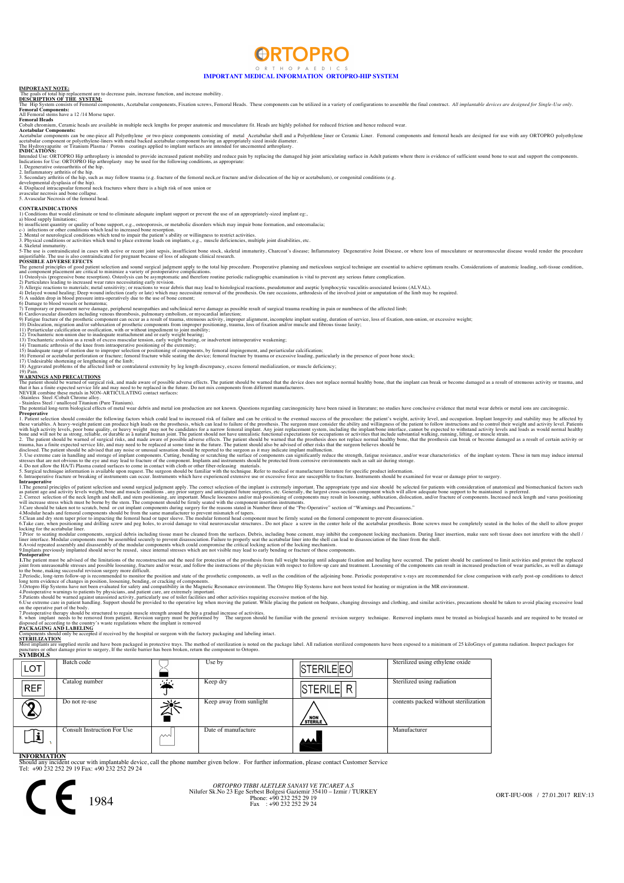

## **IMPORTANT MEDICAL INFORMATION ORTOPRO-HIP SYSTEM**

### **IMPORTANT NOTE:**

e to decrease pain, increase function, and increase mobility The goals of total nip replacement are to<br>**DESCRIPTION OF THE SYSTEM:** 

nponents. Acetabular components, Fixation screws. Femoral Heads. These components can be utilized in a variety of configurations to assemble the final construct. All *implantable devices are designed for Single-Use only*.

### **Femoral Components:**  All Femoral stems have a 12 /14 Morse taper.

An remoral ste<br>**Femoral Head**<br>Cobalt chromin **s**<br>m, Ceramic heads are available in multiple neck lengths for proper anatomic and musculature fit. Heads are highly polished for reduced friction and hence reduced wear.

Acetabular Components:<br>Acetabular components can be one-piece all Polyethylene\_or two-piece components consisting of metal\_Acetabular shell and a Polyethlene\_liner or Ceramic Liner. Femoral components and femoral heads are

# Indications for Use: ORTOPRO Hip arthroplasty is intended to provide increased patient mobility and reduce pain by replacing the damaged hip joint articulating surface in Adult patients where there is evidence of sufficien

**CONTRAINDICATIONS**<br>1) Conditions that would eliminate or tend to eliminate adequate implant support or prevent the use of an appropriately-sized implant eg:,

1) Conditions that would eliminate or tend to eliminate adequate implant support or prevent the use of an appropriately-sized implant eg:,<br>a) blood supply limitations:<br>b) insufficient quantity or quality of bone support, e

5-The use is contraindicated in cases with active or recent joint sepsis, insufficient bone stock, skeletal immaturity, Charcoat's disease; Inflammatory Degenerative Joint Disease, or where loss of musculature or neuromusc

The general principles of good patient selection and sound surgical judgment apply to the total hip procedure. Preoperative planning and meticalos surgical technique are essential to achieve optimum essults. Considerations

WARNINGS AND PRECAUTIONS<br>The pairent should be warned of surgical risk, and made aware of possible adverse effects. The patient should be warned that the device does not replace normal healthy bone, that the implant can br

**Properative**<br>**Chaptainst selection should consider the following factors which could lead to increased risk of failure and can be critical to the eventual success of the procedure: the patient's weight, activity level, an** 

as patient age and activity levels weight, alone and muscle conditions, any prior sure agrests and or metaplerial future sures, they larger consistent age and entirority levels weight, hone and muscle contains agred in the

liner interface. Modular components must be assembled securely to prevent disassociation. Painte to properly seat the acetabular chromate incomponents must be able. They are seen that the sell. SA-Noid repeated assembly of

1.The patient must be advised of the limitations of the creator of the precent tree, are extremely imported to the prosthes from full weight bearing and state of the prosthes in the limit are in patient must be advised of

7.Postoperative therapy should be structured to regain muscle strength around the hip a gradual increase of activities.<br>8. when implant needs to be removed from patient, Revision surgery must be performed by The surgeon sh

disposed of according to the country 5 wastes expansional and according to the **PACKAGING AND LABELING**<br>**PACKAGING AND LABELING**<br>Components should only be accepted if received by the hospital or surgeon with the factory pa

Most implants are supplied sterile and have been packaged in protective trays. The method of sterilization is noted on the package label. All radiation sterilized components have been exposed to a minimum of 25 kiloGrays o

| <b>LOT</b>                                                                                                                                                                | Batch code                  |        | Use by                  | STERILEEO                     | Sterilized using ethylene oxide       |  |  |  |  |
|---------------------------------------------------------------------------------------------------------------------------------------------------------------------------|-----------------------------|--------|-------------------------|-------------------------------|---------------------------------------|--|--|--|--|
| <b>REF</b>                                                                                                                                                                | Catalog number              | $\sim$ | Keep dry                | <b>STERILE R</b>              | Sterilized using radiation            |  |  |  |  |
|                                                                                                                                                                           | Do not re-use               |        | Keep away from sunlight | <b>NON</b><br><b>/sterile</b> | contents packed without sterilization |  |  |  |  |
| Ŀ                                                                                                                                                                         | Consult Instruction For Use | ∼∿     | Date of manufacture     | لممم                          | Manufacturer                          |  |  |  |  |
| <b>INFORMATION</b><br>Chard and include a composite included to device and the change combat signal to law. The forther information adverse a contrast Contentra Consider |                             |        |                         |                               |                                       |  |  |  |  |

Should any incident occur with implantable device, call the phone number given below. For further information, please contact Customer Service Tel: +90 232 252 29 19 Fax: +90 232 252 29 24



# *ORTOPRO TIBBI ALETLER SANAYI VE TICARET A.S*<br>
Nilufer Sk.No 23 Ege Serbest Bolgesi Gaziemir 35410 – Izmir / TURKEY<br>
Phone: +90 232 252 29 19<br>
Fax : +90 232 252 29 24